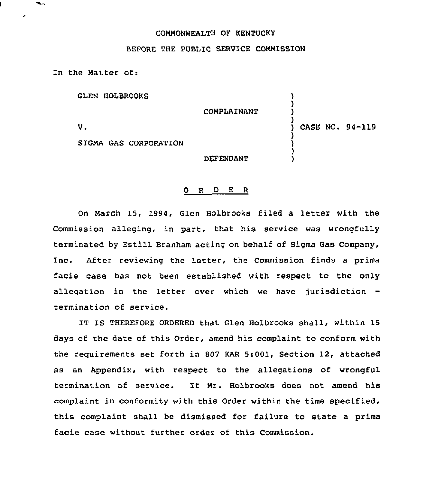## COMMONNEALTH OF KENTUCKY

## BEFORE THE PUBLIC SERVICE COMMISSION

In the Matter of:

GLEN HOLBROOKS

SIGMA GAS CORPORATION

 $V<sub>z</sub>$ 

COMPLAINANT DEFENDANT ) ) ) ) CASE NO. 94-119 ) ) ) )

## 0 R <sup>D</sup> E <sup>R</sup>

On March 15, 1994, Glen Holbrooks filed a letter with the Commission alleging, in part, that his service was wrongfully terminated by Estill Branham acting on behalf of Sigma Gas Company, Inc. After reviewing the letter, the Commission finds a prima facie case has not been established with respect to the only allegation in the letter over which we have jurisdiction termination of service.

IT IS THEREFORE ORDERED that Glen Holbrooks shall, within 15 days of the date of this Order, amend his complaint to conform with the reguirements set forth in 807 KAR 5:001, Section 12, attached as an Appendix, with respect to the allegations of wrongful termination of service. If Mr. Holbrooks does not amend his complaint in conformity with this Order within the time specified, this complaint shall be dismissed for failure to state a prima facie case without further order of this Commission.